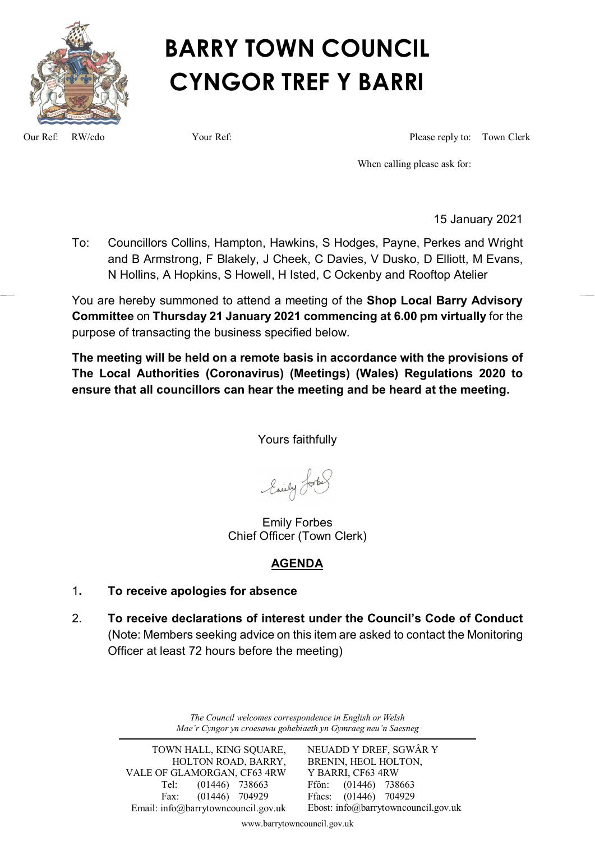

# **BARRY TOWN COUNCIL CYNGOR TREF Y BARRI**

Our Ref: RW/cdo Your Ref: Please reply to: Town Clerk

When calling please ask for:

15 January 2021

To: Councillors Collins, Hampton, Hawkins, S Hodges, Payne, Perkes and Wright and B Armstrong, F Blakely, J Cheek, C Davies, V Dusko, D Elliott, M Evans, N Hollins, A Hopkins, S Howell, H Isted, C Ockenby and Rooftop Atelier

You are hereby summoned to attend a meeting of the **Shop Local Barry Advisory Committee** on **Thursday 21 January 2021 commencing at 6.00 pm virtually** for the purpose of transacting the business specified below.

**The meeting will be held on a remote basis in accordance with the provisions of The Local Authorities (Coronavirus) (Meetings) (Wales) Regulations 2020 to ensure that all councillors can hear the meeting and be heard at the meeting.**

Yours faithfully

Enily Lorbes

Emily Forbes Chief Officer (Town Clerk)

# **AGENDA**

- 1**. To receive apologies for absence**
- 2. **To receive declarations of interest under the Council's Code of Conduct** (Note: Members seeking advice on this item are asked to contact the Monitoring Officer at least 72 hours before the meeting)

*The Council welcomes correspondence in English or Welsh Mae'r Cyngor yn croesawu gohebiaeth yn Gymraeg neu'n Saesneg*

TOWN HALL, KING SQUARE, HOLTON ROAD, BARRY, VALE OF GLAMORGAN, CF63 4RW Tel: (01446) 738663 Fax: (01446) 704929 Email: info@barrytowncouncil.gov.uk NEUADD Y DREF, SGWÂR Y BRENIN, HEOL HOLTON, Y BARRI, CF63 4RW Ffôn: (01446) 738663 Ffacs: (01446) 704929 Ebost: info@barrytowncouncil.gov.uk

www.barrytowncouncil.gov.uk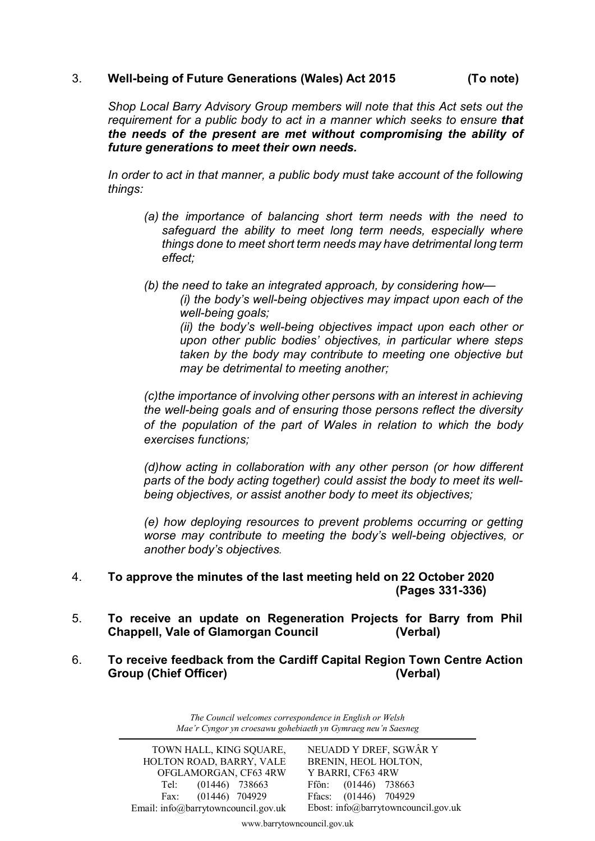#### 3. **Well-being of Future Generations (Wales) Act 2015 (To note)**

*Shop Local Barry Advisory Group members will note that this Act sets out the requirement for a public body to act in a manner which seeks to ensure that the needs of the present are met without compromising the ability of future generations to meet their own needs.*

In order to act in that manner, a public body must take account of the following *things:*

- *(a) the importance of balancing short term needs with the need to safeguard the ability to meet long term needs, especially where things done to meet short term needs may have detrimental long term effect;*
- *(b) the need to take an integrated approach, by considering how—*

*(i) the body's well-being objectives may impact upon each of the well-being goals;*

*(ii) the body's well-being objectives impact upon each other or upon other public bodies' objectives, in particular where steps taken by the body may contribute to meeting one objective but may be detrimental to meeting another;*

*(c)the importance of involving other persons with an interest in achieving the well-being goals and of ensuring those persons reflect the diversity of the population of the part of Wales in relation to which the body exercises functions;*

*(d)how acting in collaboration with any other person (or how different parts of the body acting together) could assist the body to meet its wellbeing objectives, or assist another body to meet its objectives;*

*(e) how deploying resources to prevent problems occurring or getting worse may contribute to meeting the body's well-being objectives, or another body's objectives.*

- 4. **To approve the minutes of the last meeting held on 22 October 2020 (Pages 331-336)**
- 5. **To receive an update on Regeneration Projects for Barry from Phil Chappell, Vale of Glamorgan Council (Verbal)**
- 6. **To receive feedback from the Cardiff Capital Region Town Centre Action Group (Chief Officer) (Verbal)**

*The Council welcomes correspondence in English or Welsh Mae'r Cyngor yn croesawu gohebiaeth yn Gymraeg neu'n Saesneg*

www.barrytowncouncil.gov.uk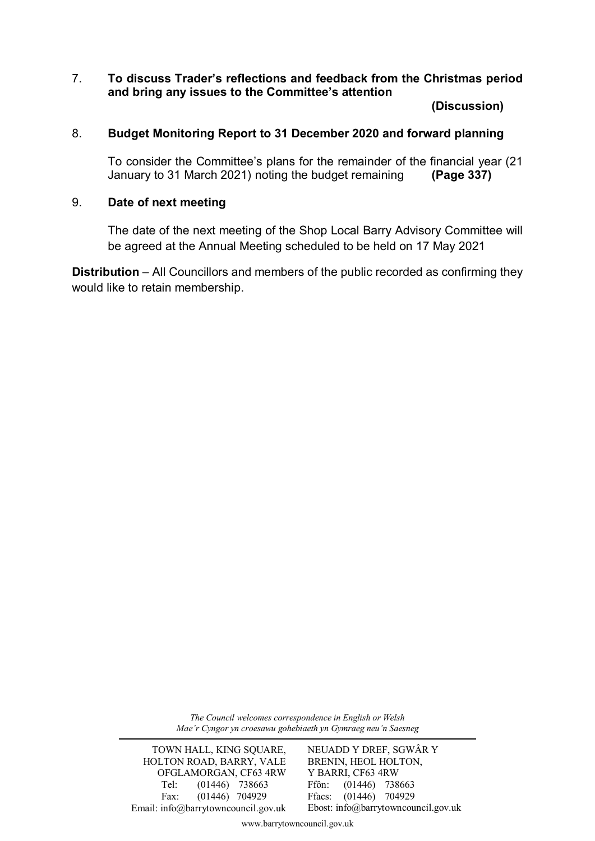# 7. **To discuss Trader's reflections and feedback from the Christmas period and bring any issues to the Committee's attention**

**(Discussion)**

# 8. **Budget Monitoring Report to 31 December 2020 and forward planning**

To consider the Committee's plans for the remainder of the financial year (21 January to 31 March 2021) noting the budget remaining (Page 337) January to 31 March 2021) noting the budget remaining **(Page 337)**

## 9. **Date of next meeting**

The date of the next meeting of the Shop Local Barry Advisory Committee will be agreed at the Annual Meeting scheduled to be held on 17 May 2021

**Distribution** – All Councillors and members of the public recorded as confirming they would like to retain membership.

> *The Council welcomes correspondence in English or Welsh Mae'r Cyngor yn croesawu gohebiaeth yn Gymraeg neu'n Saesneg*

TOWN HALL, KING SQUARE, HOLTON ROAD, BARRY, VALE OFGLAMORGAN, CF63 4RW Tel:  $(01446)$  738663 Fax: (01446) 704929 Email: info@barrytowncouncil.gov.uk NEUADD Y DREF, SGWÂR Y BRENIN, HEOL HOLTON, Y BARRI, CF63 4RW Ffôn: (01446) 738663 Ffacs: (01446) 704929 Ebost: info@barrytowncouncil.gov.uk

www.barrytowncouncil.gov.uk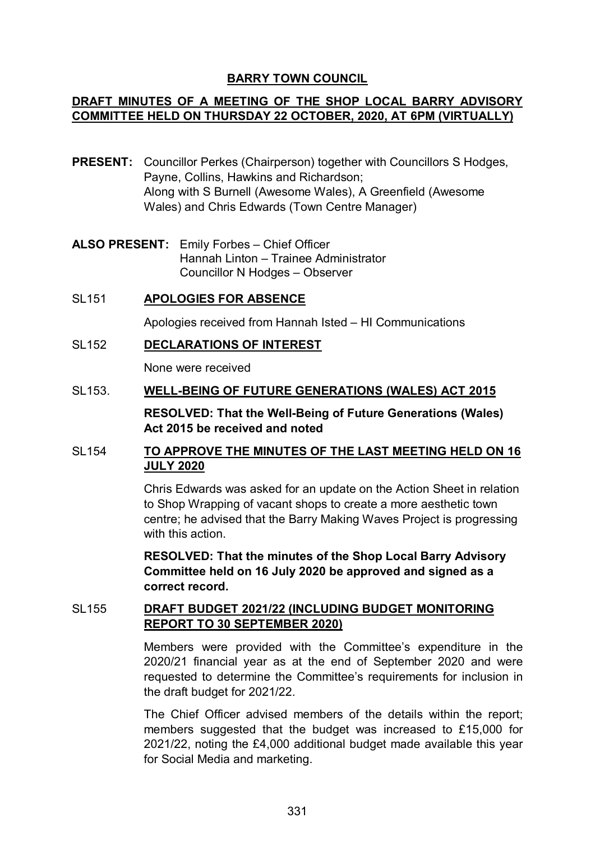# **BARRY TOWN COUNCIL**

# **DRAFT MINUTES OF A MEETING OF THE SHOP LOCAL BARRY ADVISORY COMMITTEE HELD ON THURSDAY 22 OCTOBER, 2020, AT 6PM (VIRTUALLY)**

- **PRESENT:** Councillor Perkes (Chairperson) together with Councillors S Hodges, Payne, Collins, Hawkins and Richardson; Along with S Burnell (Awesome Wales), A Greenfield (Awesome Wales) and Chris Edwards (Town Centre Manager)
- **ALSO PRESENT:** Emily Forbes Chief Officer Hannah Linton – Trainee Administrator Councillor N Hodges – Observer
- SL151 **APOLOGIES FOR ABSENCE**

Apologies received from Hannah Isted – HI Communications

SL152 **DECLARATIONS OF INTEREST**

None were received

SL153. **WELL-BEING OF FUTURE GENERATIONS (WALES) ACT 2015**

**RESOLVED: That the Well-Being of Future Generations (Wales) Act 2015 be received and noted** 

# SL154 **TO APPROVE THE MINUTES OF THE LAST MEETING HELD ON 16 JULY 2020**

Chris Edwards was asked for an update on the Action Sheet in relation to Shop Wrapping of vacant shops to create a more aesthetic town centre; he advised that the Barry Making Waves Project is progressing with this action

**RESOLVED: That the minutes of the Shop Local Barry Advisory Committee held on 16 July 2020 be approved and signed as a correct record.** 

# SL155 **DRAFT BUDGET 2021/22 (INCLUDING BUDGET MONITORING REPORT TO 30 SEPTEMBER 2020)**

Members were provided with the Committee's expenditure in the 2020/21 financial year as at the end of September 2020 and were requested to determine the Committee's requirements for inclusion in the draft budget for 2021/22.

The Chief Officer advised members of the details within the report; members suggested that the budget was increased to £15,000 for 2021/22, noting the £4,000 additional budget made available this year for Social Media and marketing.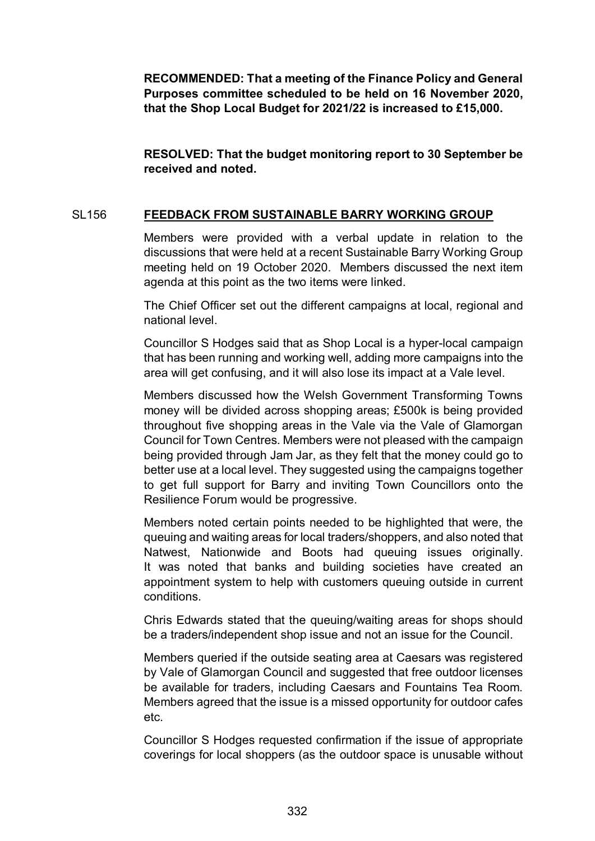**RECOMMENDED: That a meeting of the Finance Policy and General Purposes committee scheduled to be held on 16 November 2020, that the Shop Local Budget for 2021/22 is increased to £15,000.**

**RESOLVED: That the budget monitoring report to 30 September be received and noted.** 

# SL156 **FEEDBACK FROM SUSTAINABLE BARRY WORKING GROUP**

Members were provided with a verbal update in relation to the discussions that were held at a recent Sustainable Barry Working Group meeting held on 19 October 2020. Members discussed the next item agenda at this point as the two items were linked.

The Chief Officer set out the different campaigns at local, regional and national level.

Councillor S Hodges said that as Shop Local is a hyper-local campaign that has been running and working well, adding more campaigns into the area will get confusing, and it will also lose its impact at a Vale level.

Members discussed how the Welsh Government Transforming Towns money will be divided across shopping areas; £500k is being provided throughout five shopping areas in the Vale via the Vale of Glamorgan Council for Town Centres. Members were not pleased with the campaign being provided through Jam Jar, as they felt that the money could go to better use at a local level. They suggested using the campaigns together to get full support for Barry and inviting Town Councillors onto the Resilience Forum would be progressive.

Members noted certain points needed to be highlighted that were, the queuing and waiting areas for local traders/shoppers, and also noted that Natwest, Nationwide and Boots had queuing issues originally. It was noted that banks and building societies have created an appointment system to help with customers queuing outside in current conditions.

Chris Edwards stated that the queuing/waiting areas for shops should be a traders/independent shop issue and not an issue for the Council.

Members queried if the outside seating area at Caesars was registered by Vale of Glamorgan Council and suggested that free outdoor licenses be available for traders, including Caesars and Fountains Tea Room. Members agreed that the issue is a missed opportunity for outdoor cafes etc.

Councillor S Hodges requested confirmation if the issue of appropriate coverings for local shoppers (as the outdoor space is unusable without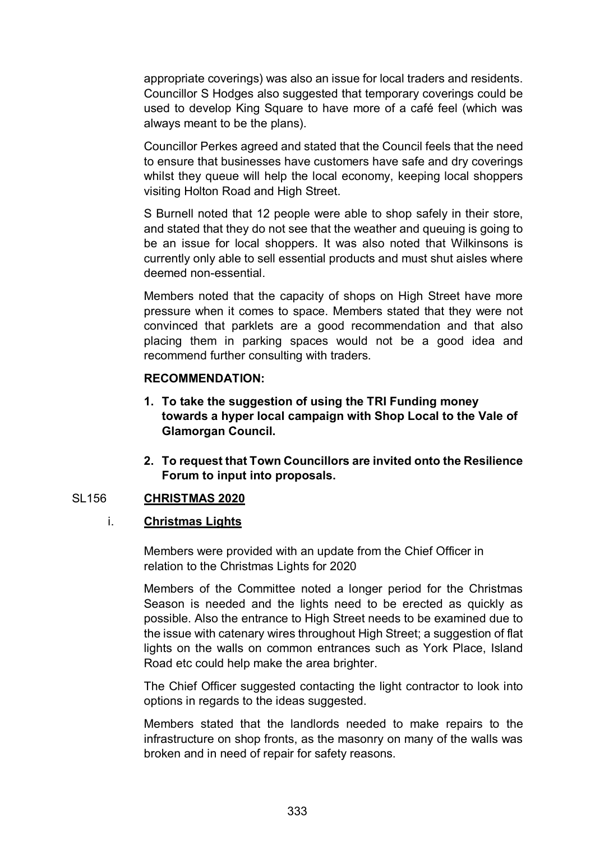appropriate coverings) was also an issue for local traders and residents. Councillor S Hodges also suggested that temporary coverings could be used to develop King Square to have more of a café feel (which was always meant to be the plans).

Councillor Perkes agreed and stated that the Council feels that the need to ensure that businesses have customers have safe and dry coverings whilst they queue will help the local economy, keeping local shoppers visiting Holton Road and High Street.

S Burnell noted that 12 people were able to shop safely in their store, and stated that they do not see that the weather and queuing is going to be an issue for local shoppers. It was also noted that Wilkinsons is currently only able to sell essential products and must shut aisles where deemed non-essential.

Members noted that the capacity of shops on High Street have more pressure when it comes to space. Members stated that they were not convinced that parklets are a good recommendation and that also placing them in parking spaces would not be a good idea and recommend further consulting with traders.

#### **RECOMMENDATION:**

- **1. To take the suggestion of using the TRI Funding money towards a hyper local campaign with Shop Local to the Vale of Glamorgan Council.**
- **2. To request that Town Councillors are invited onto the Resilience Forum to input into proposals.**

## SL156 **CHRISTMAS 2020**

#### i. **Christmas Lights**

Members were provided with an update from the Chief Officer in relation to the Christmas Lights for 2020

Members of the Committee noted a longer period for the Christmas Season is needed and the lights need to be erected as quickly as possible. Also the entrance to High Street needs to be examined due to the issue with catenary wires throughout High Street; a suggestion of flat lights on the walls on common entrances such as York Place, Island Road etc could help make the area brighter.

The Chief Officer suggested contacting the light contractor to look into options in regards to the ideas suggested.

Members stated that the landlords needed to make repairs to the infrastructure on shop fronts, as the masonry on many of the walls was broken and in need of repair for safety reasons.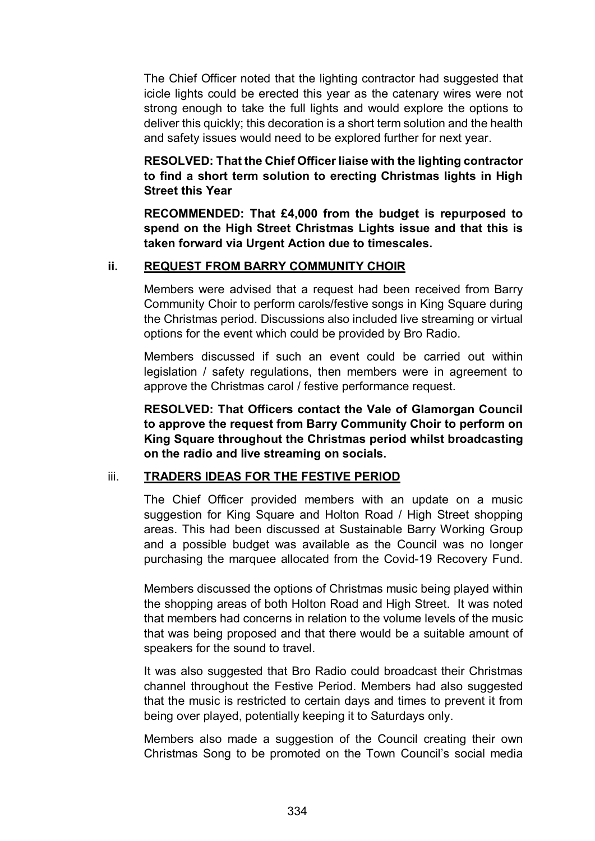The Chief Officer noted that the lighting contractor had suggested that icicle lights could be erected this year as the catenary wires were not strong enough to take the full lights and would explore the options to deliver this quickly; this decoration is a short term solution and the health and safety issues would need to be explored further for next year.

**RESOLVED: That the Chief Officer liaise with the lighting contractor to find a short term solution to erecting Christmas lights in High Street this Year**

**RECOMMENDED: That £4,000 from the budget is repurposed to spend on the High Street Christmas Lights issue and that this is taken forward via Urgent Action due to timescales.** 

## **ii. REQUEST FROM BARRY COMMUNITY CHOIR**

Members were advised that a request had been received from Barry Community Choir to perform carols/festive songs in King Square during the Christmas period. Discussions also included live streaming or virtual options for the event which could be provided by Bro Radio.

Members discussed if such an event could be carried out within legislation / safety regulations, then members were in agreement to approve the Christmas carol / festive performance request.

**RESOLVED: That Officers contact the Vale of Glamorgan Council to approve the request from Barry Community Choir to perform on King Square throughout the Christmas period whilst broadcasting on the radio and live streaming on socials.**

#### iii. **TRADERS IDEAS FOR THE FESTIVE PERIOD**

The Chief Officer provided members with an update on a music suggestion for King Square and Holton Road / High Street shopping areas. This had been discussed at Sustainable Barry Working Group and a possible budget was available as the Council was no longer purchasing the marquee allocated from the Covid-19 Recovery Fund.

Members discussed the options of Christmas music being played within the shopping areas of both Holton Road and High Street. It was noted that members had concerns in relation to the volume levels of the music that was being proposed and that there would be a suitable amount of speakers for the sound to travel.

It was also suggested that Bro Radio could broadcast their Christmas channel throughout the Festive Period. Members had also suggested that the music is restricted to certain days and times to prevent it from being over played, potentially keeping it to Saturdays only.

Members also made a suggestion of the Council creating their own Christmas Song to be promoted on the Town Council's social media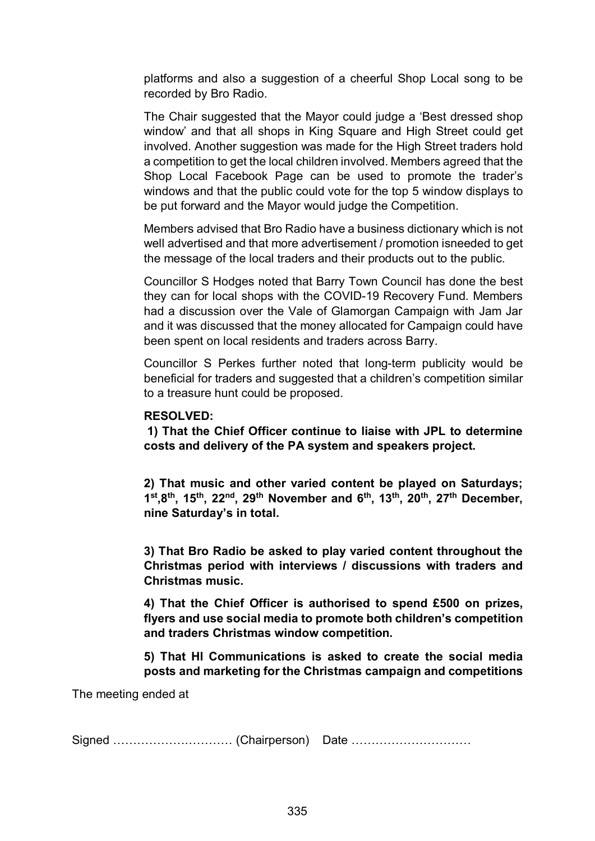platforms and also a suggestion of a cheerful Shop Local song to be recorded by Bro Radio.

The Chair suggested that the Mayor could judge a 'Best dressed shop window' and that all shops in King Square and High Street could get involved. Another suggestion was made for the High Street traders hold a competition to get the local children involved. Members agreed that the Shop Local Facebook Page can be used to promote the trader's windows and that the public could vote for the top 5 window displays to be put forward and the Mayor would judge the Competition.

Members advised that Bro Radio have a business dictionary which is not well advertised and that more advertisement / promotion isneeded to get the message of the local traders and their products out to the public.

Councillor S Hodges noted that Barry Town Council has done the best they can for local shops with the COVID-19 Recovery Fund. Members had a discussion over the Vale of Glamorgan Campaign with Jam Jar and it was discussed that the money allocated for Campaign could have been spent on local residents and traders across Barry.

Councillor S Perkes further noted that long-term publicity would be beneficial for traders and suggested that a children's competition similar to a treasure hunt could be proposed.

## **RESOLVED:**

**1) That the Chief Officer continue to liaise with JPL to determine costs and delivery of the PA system and speakers project.**

**2) That music and other varied content be played on Saturdays; 1st,8th, 15th, 22nd, 29th November and 6th, 13th, 20th, 27th December, nine Saturday's in total.**

**3) That Bro Radio be asked to play varied content throughout the Christmas period with interviews / discussions with traders and Christmas music.**

**4) That the Chief Officer is authorised to spend £500 on prizes, flyers and use social media to promote both children's competition and traders Christmas window competition.**

**5) That HI Communications is asked to create the social media posts and marketing for the Christmas campaign and competitions**

The meeting ended at

Signed ………………………… (Chairperson) Date …………………………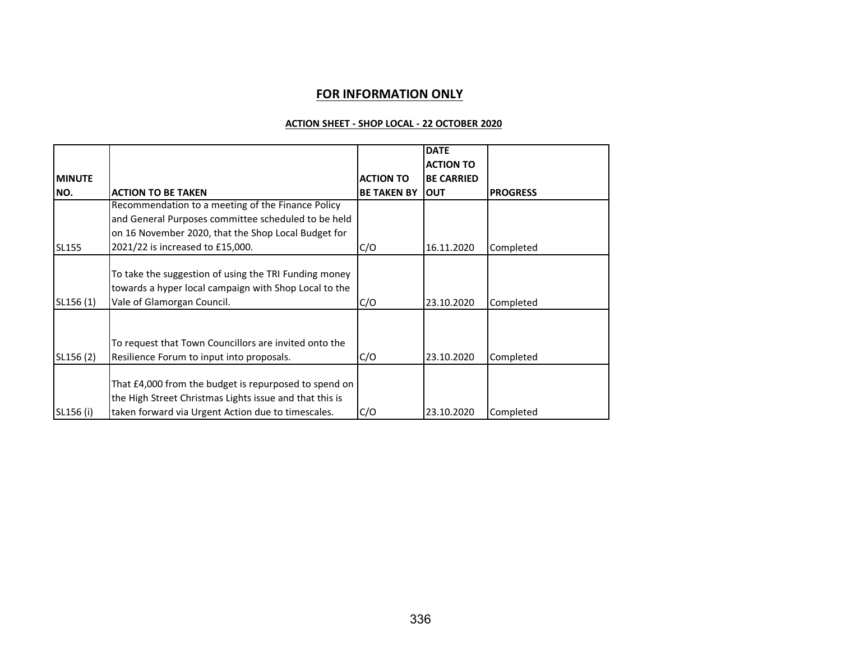#### **FOR INFORMATION ONLY**

#### **ACTION SHEET - SHOP LOCAL - 22 OCTOBER 2020**

|                |                                                         |                    | <b>DATE</b>       |                 |
|----------------|---------------------------------------------------------|--------------------|-------------------|-----------------|
|                |                                                         |                    | <b>ACTION TO</b>  |                 |
| <b>IMINUTE</b> |                                                         | <b>ACTION TO</b>   | <b>BE CARRIED</b> |                 |
| NO.            | <b>ACTION TO BE TAKEN</b>                               | <b>BE TAKEN BY</b> | <b>OUT</b>        | <b>PROGRESS</b> |
|                | Recommendation to a meeting of the Finance Policy       |                    |                   |                 |
|                | and General Purposes committee scheduled to be held     |                    |                   |                 |
|                | on 16 November 2020, that the Shop Local Budget for     |                    |                   |                 |
| <b>SL155</b>   | 2021/22 is increased to £15,000.                        | C/O                | 16.11.2020        | Completed       |
|                |                                                         |                    |                   |                 |
|                | To take the suggestion of using the TRI Funding money   |                    |                   |                 |
|                | towards a hyper local campaign with Shop Local to the   |                    |                   |                 |
| SL156(1)       | Vale of Glamorgan Council.                              | C/O                | 23.10.2020        | Completed       |
|                |                                                         |                    |                   |                 |
|                | To request that Town Councillors are invited onto the   |                    |                   |                 |
|                |                                                         |                    |                   |                 |
| SL156 (2)      | Resilience Forum to input into proposals.               | C/O                | 23.10.2020        | Completed       |
|                | That £4,000 from the budget is repurposed to spend on   |                    |                   |                 |
|                | the High Street Christmas Lights issue and that this is |                    |                   |                 |
|                |                                                         |                    |                   |                 |
| SL156 (i)      | taken forward via Urgent Action due to timescales.      | C/O                | 23.10.2020        | Completed       |